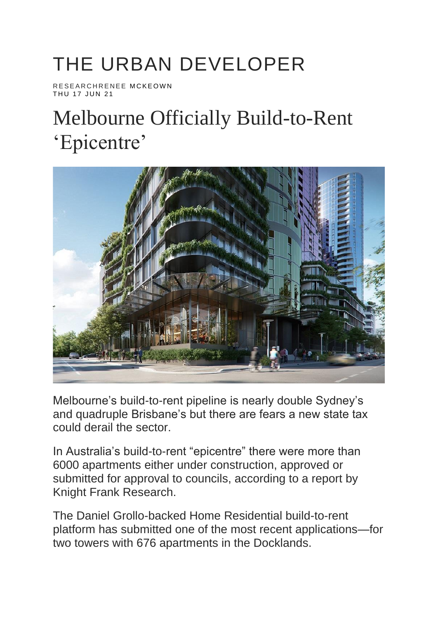## THE URBAN DEVELOPER

RESEARCHRENEE MCKEOWN THU 17 JUN 21

## Melbourne Officially Build-to-Rent 'Epicentre'



Melbourne's build-to-rent pipeline is nearly double Sydney's and quadruple Brisbane's but there are fears a new state tax could derail the sector.

In Australia's build-to-rent "epicentre" there were more than 6000 apartments either under construction, approved or submitted for approval to councils, according to a report by Knight Frank Research.

The Daniel Grollo-backed Home Residential build-to-rent platform has submitted one of the most recent applications—for two towers with 676 apartments in the Docklands.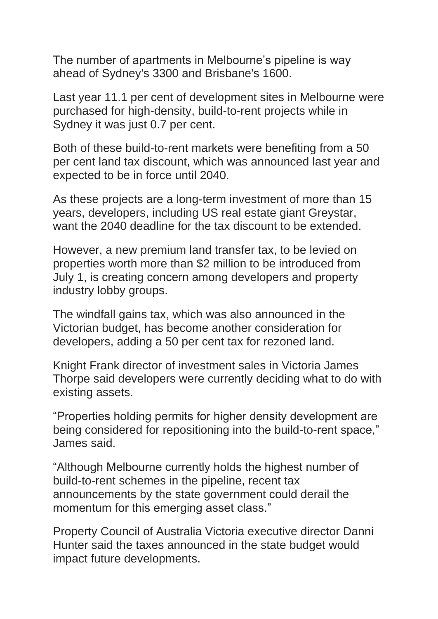The number of apartments in Melbourne's pipeline is way ahead of Sydney's 3300 and Brisbane's 1600.

Last year 11.1 per cent of development sites in Melbourne were purchased for high-density, build-to-rent projects while in Sydney it was just 0.7 per cent.

Both of these build-to-rent markets were benefiting from a 50 per cent land tax discount, which was announced last year and expected to be in force until 2040.

As these projects are a long-term investment of more than 15 years, developers, including US real estate giant Greystar, want the 2040 deadline for the tax discount to be extended.

However, a new premium land transfer tax, to be levied on properties worth more than \$2 million to be introduced from July 1, is creating concern among developers and property industry lobby groups.

The windfall gains tax, which was also announced in the Victorian budget, has become another consideration for developers, adding a 50 per cent tax for rezoned land.

Knight Frank director of investment sales in Victoria James Thorpe said developers were currently deciding what to do with existing assets.

"Properties holding permits for higher density development are being considered for repositioning into the build-to-rent space," James said.

"Although Melbourne currently holds the highest number of build-to-rent schemes in the pipeline, recent tax announcements by the state government could derail the momentum for this emerging asset class."

Property Council of Australia Victoria executive director Danni Hunter said the taxes announced in the state budget would impact future developments.